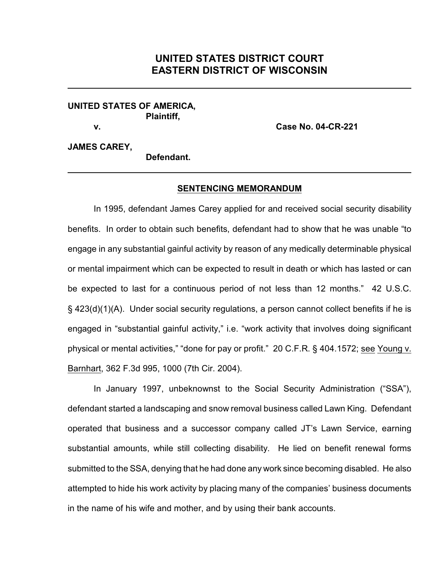## **UNITED STATES DISTRICT COURT EASTERN DISTRICT OF WISCONSIN**

## **UNITED STATES OF AMERICA, Plaintiff,**

**v. Case No. 04-CR-221**

## **JAMES CAREY,**

**Defendant.**

## **SENTENCING MEMORANDUM**

In 1995, defendant James Carey applied for and received social security disability benefits. In order to obtain such benefits, defendant had to show that he was unable "to engage in any substantial gainful activity by reason of any medically determinable physical or mental impairment which can be expected to result in death or which has lasted or can be expected to last for a continuous period of not less than 12 months." 42 U.S.C. § 423(d)(1)(A). Under social security regulations, a person cannot collect benefits if he is engaged in "substantial gainful activity," i.e. "work activity that involves doing significant physical or mental activities," "done for pay or profit." 20 C.F.R. § 404.1572; see Young v. Barnhart, 362 F.3d 995, 1000 (7th Cir. 2004).

In January 1997, unbeknownst to the Social Security Administration ("SSA"), defendant started a landscaping and snow removal business called Lawn King. Defendant operated that business and a successor company called JT's Lawn Service, earning substantial amounts, while still collecting disability. He lied on benefit renewal forms submitted to the SSA, denying that he had done any work since becoming disabled. He also attempted to hide his work activity by placing many of the companies' business documents in the name of his wife and mother, and by using their bank accounts.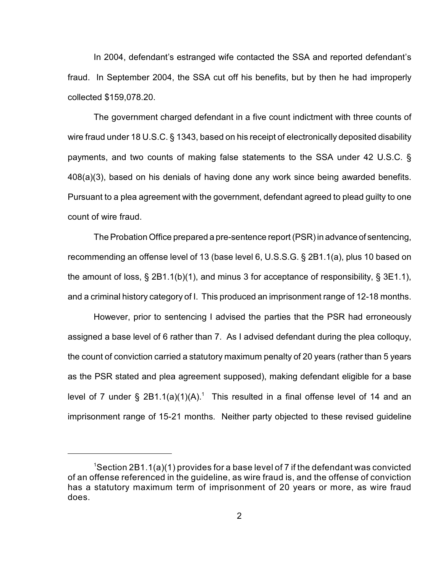In 2004, defendant's estranged wife contacted the SSA and reported defendant's fraud. In September 2004, the SSA cut off his benefits, but by then he had improperly collected \$159,078.20.

The government charged defendant in a five count indictment with three counts of wire fraud under 18 U.S.C. § 1343, based on his receipt of electronically deposited disability payments, and two counts of making false statements to the SSA under 42 U.S.C. § 408(a)(3), based on his denials of having done any work since being awarded benefits. Pursuant to a plea agreement with the government, defendant agreed to plead guilty to one count of wire fraud.

The Probation Office prepared a pre-sentence report (PSR) in advance of sentencing, recommending an offense level of 13 (base level 6, U.S.S.G. § 2B1.1(a), plus 10 based on the amount of loss, § 2B1.1(b)(1), and minus 3 for acceptance of responsibility, § 3E1.1), and a criminal history category of I. This produced an imprisonment range of 12-18 months.

However, prior to sentencing I advised the parties that the PSR had erroneously assigned a base level of 6 rather than 7. As I advised defendant during the plea colloquy, the count of conviction carried a statutory maximum penalty of 20 years (rather than 5 years as the PSR stated and plea agreement supposed), making defendant eligible for a base level of 7 under § 2B1.1(a)(1)(A).<sup>1</sup> This resulted in a final offense level of 14 and an imprisonment range of 15-21 months. Neither party objected to these revised guideline

 $1$ Section 2B1.1(a)(1) provides for a base level of 7 if the defendant was convicted of an offense referenced in the guideline, as wire fraud is, and the offense of conviction has a statutory maximum term of imprisonment of 20 years or more, as wire fraud does.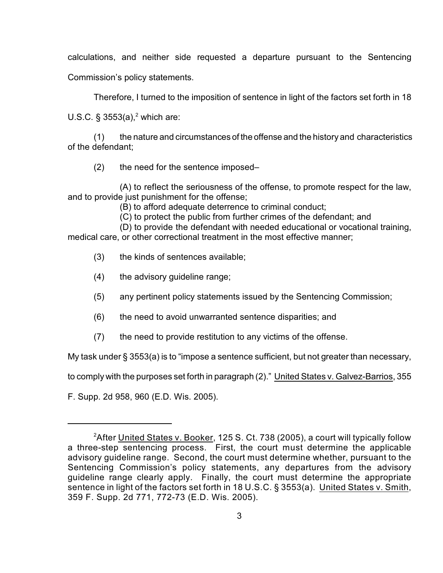calculations, and neither side requested a departure pursuant to the Sentencing

Commission's policy statements.

Therefore, I turned to the imposition of sentence in light of the factors set forth in 18

U.S.C. § 3553(a),<sup>2</sup> which are:

(1) the nature and circumstances of the offense and the history and characteristics of the defendant;

(2) the need for the sentence imposed–

 (A) to reflect the seriousness of the offense, to promote respect for the law, and to provide just punishment for the offense;

(B) to afford adequate deterrence to criminal conduct;

(C) to protect the public from further crimes of the defendant; and

 (D) to provide the defendant with needed educational or vocational training, medical care, or other correctional treatment in the most effective manner;

- (3) the kinds of sentences available;
- (4) the advisory guideline range;
- (5) any pertinent policy statements issued by the Sentencing Commission;
- (6) the need to avoid unwarranted sentence disparities; and
- (7) the need to provide restitution to any victims of the offense.

My task under § 3553(a) is to "impose a sentence sufficient, but not greater than necessary,

to comply with the purposes set forth in paragraph (2)." United States v. Galvez-Barrios, 355

F. Supp. 2d 958, 960 (E.D. Wis. 2005).

<sup>&</sup>lt;sup>2</sup>After United States v. Booker, 125 S. Ct. 738 (2005), a court will typically follow a three-step sentencing process. First, the court must determine the applicable advisory guideline range. Second, the court must determine whether, pursuant to the Sentencing Commission's policy statements, any departures from the advisory guideline range clearly apply. Finally, the court must determine the appropriate sentence in light of the factors set forth in 18 U.S.C. § 3553(a). United States v. Smith, 359 F. Supp. 2d 771, 772-73 (E.D. Wis. 2005).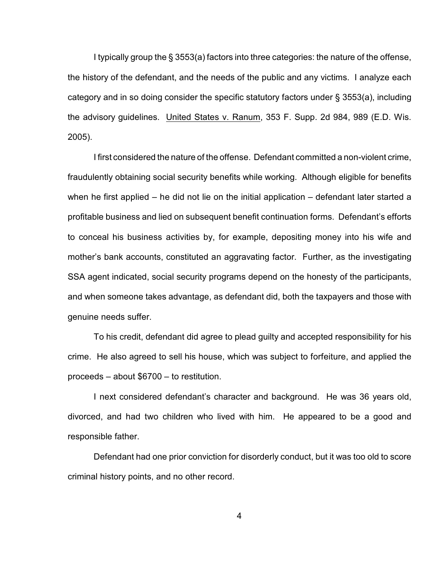I typically group the § 3553(a) factors into three categories: the nature of the offense, the history of the defendant, and the needs of the public and any victims. I analyze each category and in so doing consider the specific statutory factors under § 3553(a), including the advisory guidelines. United States v. Ranum, 353 F. Supp. 2d 984, 989 (E.D. Wis. 2005).

I first considered the nature of the offense. Defendant committed a non-violent crime, fraudulently obtaining social security benefits while working. Although eligible for benefits when he first applied – he did not lie on the initial application – defendant later started a profitable business and lied on subsequent benefit continuation forms. Defendant's efforts to conceal his business activities by, for example, depositing money into his wife and mother's bank accounts, constituted an aggravating factor. Further, as the investigating SSA agent indicated, social security programs depend on the honesty of the participants, and when someone takes advantage, as defendant did, both the taxpayers and those with genuine needs suffer.

To his credit, defendant did agree to plead guilty and accepted responsibility for his crime. He also agreed to sell his house, which was subject to forfeiture, and applied the proceeds – about \$6700 – to restitution.

I next considered defendant's character and background. He was 36 years old, divorced, and had two children who lived with him. He appeared to be a good and responsible father.

Defendant had one prior conviction for disorderly conduct, but it was too old to score criminal history points, and no other record.

4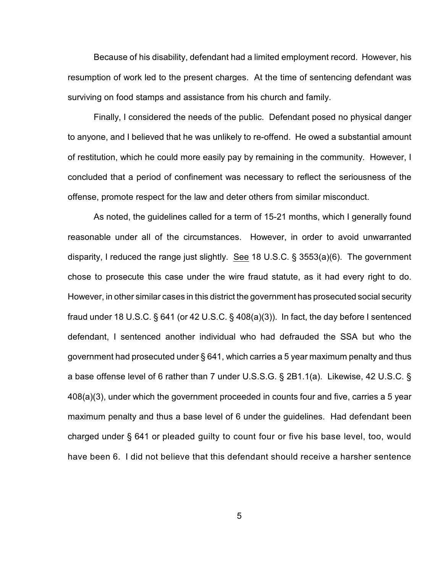Because of his disability, defendant had a limited employment record. However, his resumption of work led to the present charges. At the time of sentencing defendant was surviving on food stamps and assistance from his church and family.

Finally, I considered the needs of the public. Defendant posed no physical danger to anyone, and I believed that he was unlikely to re-offend. He owed a substantial amount of restitution, which he could more easily pay by remaining in the community. However, I concluded that a period of confinement was necessary to reflect the seriousness of the offense, promote respect for the law and deter others from similar misconduct.

As noted, the guidelines called for a term of 15-21 months, which I generally found reasonable under all of the circumstances. However, in order to avoid unwarranted disparity, I reduced the range just slightly. See 18 U.S.C. § 3553(a)(6). The government chose to prosecute this case under the wire fraud statute, as it had every right to do. However, in other similar cases in this district the government has prosecuted social security fraud under 18 U.S.C. § 641 (or 42 U.S.C. § 408(a)(3)). In fact, the day before I sentenced defendant, I sentenced another individual who had defrauded the SSA but who the government had prosecuted under § 641, which carries a 5 year maximum penalty and thus a base offense level of 6 rather than 7 under U.S.S.G. § 2B1.1(a). Likewise, 42 U.S.C. § 408(a)(3), under which the government proceeded in counts four and five, carries a 5 year maximum penalty and thus a base level of 6 under the guidelines. Had defendant been charged under § 641 or pleaded guilty to count four or five his base level, too, would have been 6. I did not believe that this defendant should receive a harsher sentence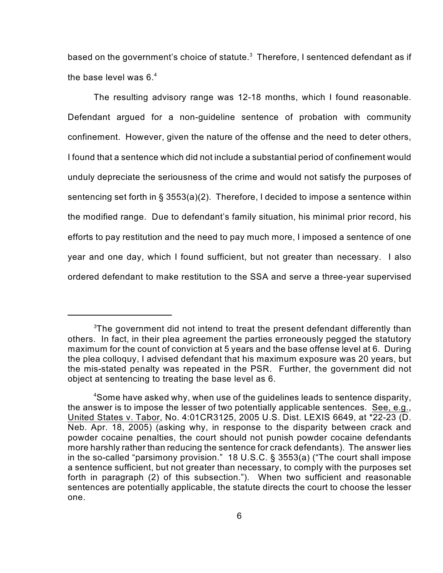based on the government's choice of statute. $3$  Therefore, I sentenced defendant as if the base level was 6. $4$ 

The resulting advisory range was 12-18 months, which I found reasonable. Defendant argued for a non-guideline sentence of probation with community confinement. However, given the nature of the offense and the need to deter others, I found that a sentence which did not include a substantial period of confinement would unduly depreciate the seriousness of the crime and would not satisfy the purposes of sentencing set forth in § 3553(a)(2). Therefore, I decided to impose a sentence within the modified range. Due to defendant's family situation, his minimal prior record, his efforts to pay restitution and the need to pay much more, I imposed a sentence of one year and one day, which I found sufficient, but not greater than necessary. I also ordered defendant to make restitution to the SSA and serve a three-year supervised

 $3$ The government did not intend to treat the present defendant differently than others. In fact, in their plea agreement the parties erroneously pegged the statutory maximum for the count of conviction at 5 years and the base offense level at 6. During the plea colloquy, I advised defendant that his maximum exposure was 20 years, but the mis-stated penalty was repeated in the PSR. Further, the government did not object at sentencing to treating the base level as 6.

<sup>&</sup>lt;sup>4</sup>Some have asked why, when use of the guidelines leads to sentence disparity, the answer is to impose the lesser of two potentially applicable sentences. See, e.g., United States v. Tabor, No. 4:01CR3125, 2005 U.S. Dist. LEXIS 6649, at \*22-23 (D. Neb. Apr. 18, 2005) (asking why, in response to the disparity between crack and powder cocaine penalties, the court should not punish powder cocaine defendants more harshly rather than reducing the sentence for crack defendants). The answer lies in the so-called "parsimony provision." 18 U.S.C. § 3553(a) ("The court shall impose a sentence sufficient, but not greater than necessary, to comply with the purposes set forth in paragraph (2) of this subsection."). When two sufficient and reasonable sentences are potentially applicable, the statute directs the court to choose the lesser one.